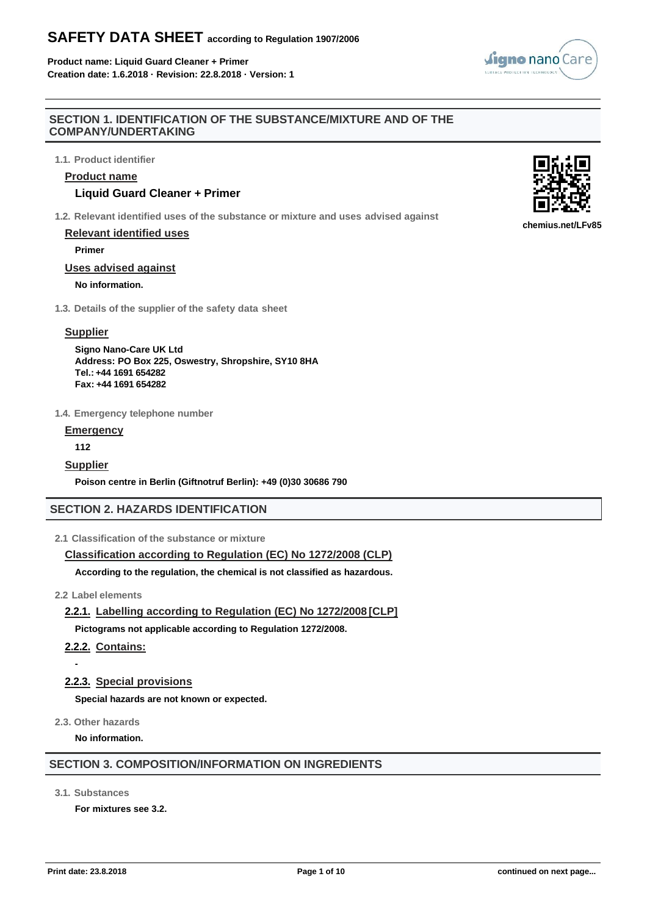**Product name: Liquid Guard Cleaner + Primer Creation date: 1.6.2018 · Revision: 22.8.2018 · Version: 1**

## **SECTION 1. IDENTIFICATION OF THE SUBSTANCE/MIXTURE AND OF THE COMPANY/UNDERTAKING**

**1.1. Product identifier**

## **Product name**

## **Liquid Guard Cleaner + Primer**

**1.2. Relevant identified uses of the substance or mixture and uses advised against**

## **Relevant identified uses**

**Primer**

## **Uses advised against**

## **No information.**

**1.3. Details of the supplier of the safety data sheet**

## **Supplier**

**Signo Nano-Care UK Ltd Address: PO Box 225, Oswestry, Shropshire, SY10 8HA Tel.: +44 1691 654282 Fax: +44 1691 654282**

**1.4. Emergency telephone number**

## **Emergency**

**112**

## **Supplier**

**Poison centre in Berlin (Giftnotruf Berlin): +49 (0)30 30686 790**

# **SECTION 2. HAZARDS IDENTIFICATION**

## **2.1 Classification of the substance or mixture**

## **Classification according to Regulation (EC) No 1272/2008 (CLP)**

**According to the regulation, the chemical is not classified as hazardous.**

## **2.2 Label elements**

**2.2.1. Labelling according to Regulation (EC) No 1272/2008 [CLP]**

**Pictograms not applicable according to Regulation 1272/2008.**

# **2.2.2. Contains:**

# **2.2.3. Special provisions**

**Special hazards are not known or expected.**

**2.3. Other hazards**

**-**

**No information.**

## **SECTION 3. COMPOSITION/INFORMATION ON INGREDIENTS**

**3.1. Substances**

**For mixtures see 3.2.**



**chemius.net/LFv85**

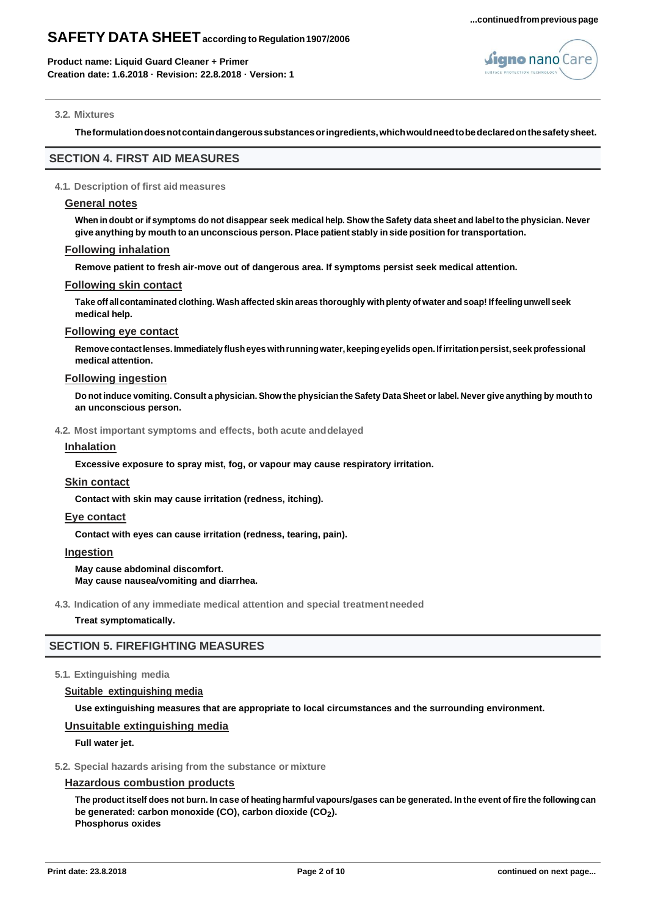

#### **3.2. Mixtures**

**Theformulationdoesnotcontaindangeroussubstancesoringredients,whichwouldneedtobedeclaredonthesafetysheet.**

## **SECTION 4. FIRST AID MEASURES**

#### **4.1. Description of first aid measures**

#### **General notes**

When in doubt or if symptoms do not disappear seek medical help. Show the Safety data sheet and label to the physician. Never **give anything by mouth toan unconscious person. Place patient stably inside position for transportation.**

#### **Following inhalation**

**Remove patient to fresh air-move out of dangerous area. If symptoms persist seek medical attention.**

#### **Following skin contact**

Take off all contaminated clothing. Wash affected skin areas thoroughly with plenty of water and soap! If feeling unwell seek **medical help.**

## **Following eye contact**

**Remove contactlenses.Immediately flusheyes withrunningwater, keepingeyelids open. Ifirritationpersist,seek professional medical attention.**

## **Following ingestion**

Do not induce vomiting. Consult a physician. Show the physician the Safety Data Sheet or label. Never give anything by mouth to **an unconscious person.**

#### **4.2. Most important symptoms and effects, both acute anddelayed**

#### **Inhalation**

**Excessive exposure to spray mist, fog, or vapour may cause respiratory irritation.**

#### **Skin contact**

**Contact with skin may cause irritation (redness, itching).**

#### **Eye contact**

**Contact with eyes can cause irritation (redness, tearing, pain).**

#### **Ingestion**

**May cause abdominal discomfort. May cause nausea/vomiting and diarrhea.**

**4.3. Indication of any immediate medical attention and special treatmentneeded**

#### **Treat symptomatically.**

## **SECTION 5. FIREFIGHTING MEASURES**

#### **5.1. Extinguishing media**

#### **Suitable extinguishing media**

**Use extinguishing measures that are appropriate to local circumstances and the surrounding environment.**

#### **Unsuitable extinguishing media**

**Full water jet.**

#### **5.2. Special hazards arising from the substance or mixture**

#### **Hazardous combustion products**

The product itself does not burn. In case of heating harmful vapours/gases can be generated. In the event of fire the following can **be generated: carbon monoxide (CO), carbon dioxide (CO<sup>2</sup> ). Phosphorus oxides**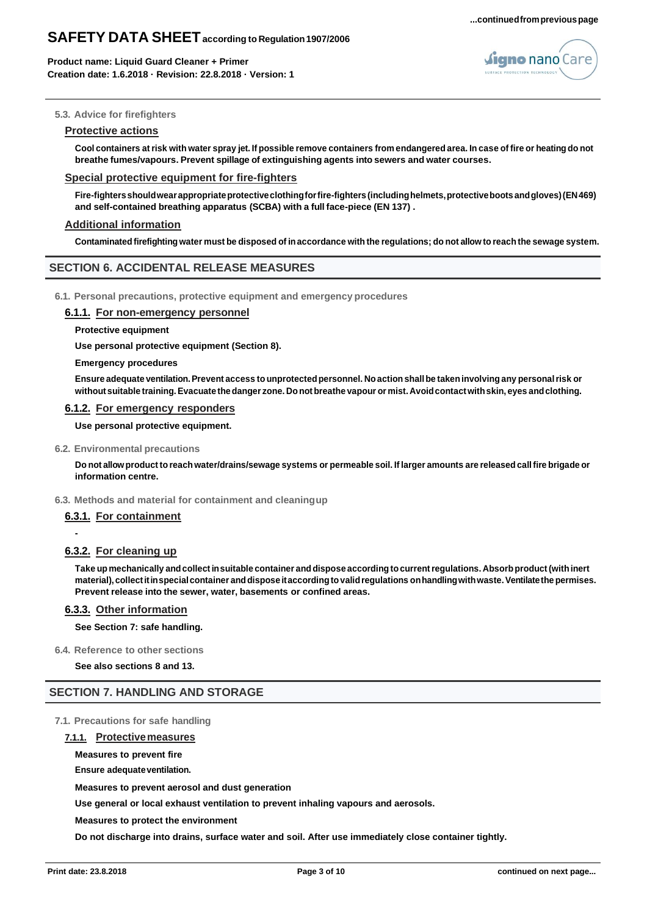

### **5.3. Advice for firefighters**

#### **Protective actions**

Cool containers at risk with water spray jet. If possible remove containers from endangered area. In case of fire or heating do not **breathe fumes/vapours. Prevent spillage of extinguishing agents into sewers and water courses.**

#### **Special protective equipment for fire-fighters**

Fire-fighters should wear appropriate protective clothing for fire-fighters (including helmets, protective boots and gloves) (EN469) **and self-contained breathing apparatus (SCBA) with a full face-piece (EN 137) .**

#### **Additional information**

Contaminated firefighting water must be disposed of in accordance with the regulations; do not allow to reach the sewage system.

## **SECTION 6. ACCIDENTAL RELEASE MEASURES**

**6.1. Personal precautions, protective equipment and emergency procedures**

#### **6.1.1. For non-emergency personnel**

**Protective equipment**

**Use personal protective equipment (Section 8).**

#### **Emergency procedures**

**Ensure adequate ventilation.Prevent access tounprotectedpersonnel. Noaction shallbe takeninvolving any personalrisk or without suitable training.Evacuate thedanger zone. Donot breathe vapour or mist.Avoidcontactwithskin, eyes andclothing.**

#### **6.1.2. For emergency responders**

**Use personal protective equipment.**

#### **6.2. Environmental precautions**

Do not allow product to reach water/drains/sewage systems or permeable soil. If larger amounts are released call fire brigade or **information centre.**

#### **6.3. Methods and material for containment and cleaningup**

## **6.3.1. For containment**

**-**

## **6.3.2. For cleaning up**

**Take up mechanically andcollectinsuitable container anddispose accordingtocurrentregulations. Absorb product(withinert material),collectitinspecialcontainer anddispose itaccordingtovalidregulations onhandlingwithwaste.Ventilatethepermises. Prevent release into the sewer, water, basements or confined areas.**

## **6.3.3. Other information**

**See Section 7: safe handling.**

**6.4. Reference to other sections**

**See also sections 8 and 13.**

## **SECTION 7. HANDLING AND STORAGE**

**7.1. Precautions for safe handling**

#### **7.1.1. Protectivemeasures**

#### **Measures to prevent fire**

**Ensure adequate ventilation.** 

**Measures to prevent aerosol and dust generation**

**Use general or local exhaust ventilation to prevent inhaling vapours and aerosols.**

**Measures to protect the environment**

**Do not discharge into drains, surface water and soil. After use immediately close container tightly.**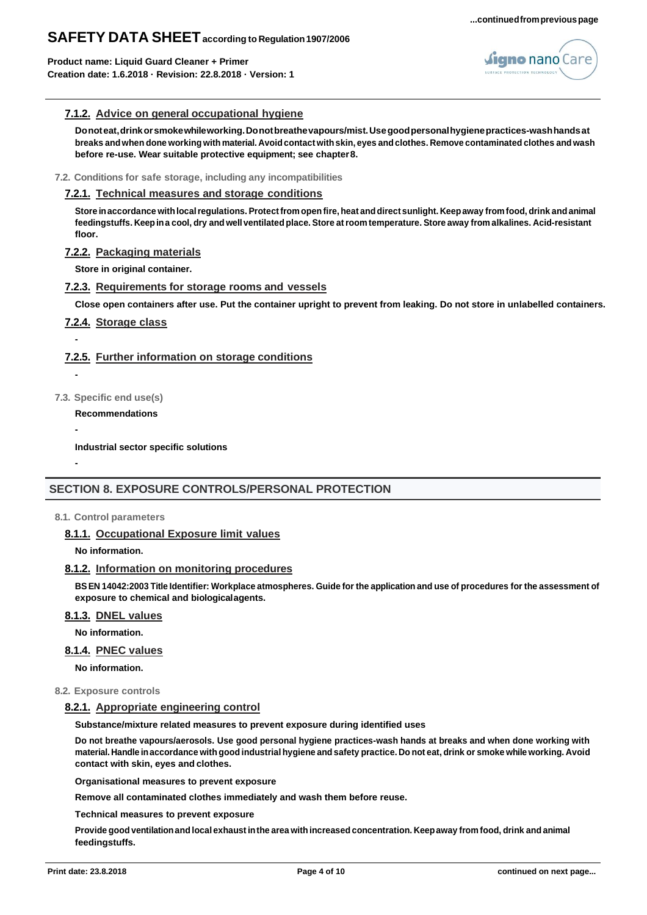**Product name: Liquid Guard Cleaner + Primer Creation date: 1.6.2018 · Revision: 22.8.2018 · Version: 1**



## **7.1.2. Advice on general occupational hygiene**

**Donoteat,drinkorsmokewhileworking.Donotbreathevapours/mist.Usegoodpersonalhygienepractices-washhandsat**  breaks and when done working with material. Avoid contact with skin, eyes and clothes. Remove contaminated clothes and wash **before re-use. Wear suitable protective equipment; see chapter8.**

#### **7.2. Conditions for safe storage, including any incompatibilities**

#### **7.2.1. Technical measures and storage conditions**

**Store inaccordance withlocalregulations.Protectfrom open fire,heat anddirect sunlight. Keepaway fromfood, drink andanimal**  feedingstuffs. Keep in a cool, dry and well ventilated place. Store at room temperature. Store away from alkalines. Acid-resistant **floor.**

#### **7.2.2. Packaging materials**

**Store in original container.**

## **7.2.3. Requirements for storage rooms and vessels**

**Close open containers after use. Put the container upright to prevent from leaking. Do not store in unlabelled containers.**

## **7.2.4. Storage class**

## **7.2.5. Further information on storage conditions**

**-**

**-**

**-**

**-**

- **7.3. Specific end use(s)**
	- **Recommendations**

**Industrial sector specific solutions**

# **SECTION 8. EXPOSURE CONTROLS/PERSONAL PROTECTION**

#### **8.1. Control parameters**

## **8.1.1. Occupational Exposure limit values**

**No information.**

#### **8.1.2. Information on monitoring procedures**

BS EN 14042:2003 Title Identifier: Workplace atmospheres. Guide for the application and use of procedures for the assessment of **exposure to chemical and biologicalagents.**

#### **8.1.3. DNEL values**

**No information.**

#### **8.1.4. PNEC values**

**No information.**

**8.2. Exposure controls**

## **8.2.1. Appropriate engineering control**

**Substance/mixture related measures to prevent exposure during identified uses**

**Do not breathe vapours/aerosols. Use good personal hygiene practices-wash hands at breaks and when done working with**  material. Handle in accordance with good industrial hygiene and safety practice. Do not eat, drink or smoke while working. Avoid **contact with skin, eyes and clothes.**

**Organisational measures to prevent exposure**

**Remove all contaminated clothes immediately and wash them before reuse.**

**Technical measures to prevent exposure**

**Provide goodventilationand local exhaust inthe area with increased concentration. Keepaway from food, drink and animal feedingstuffs.**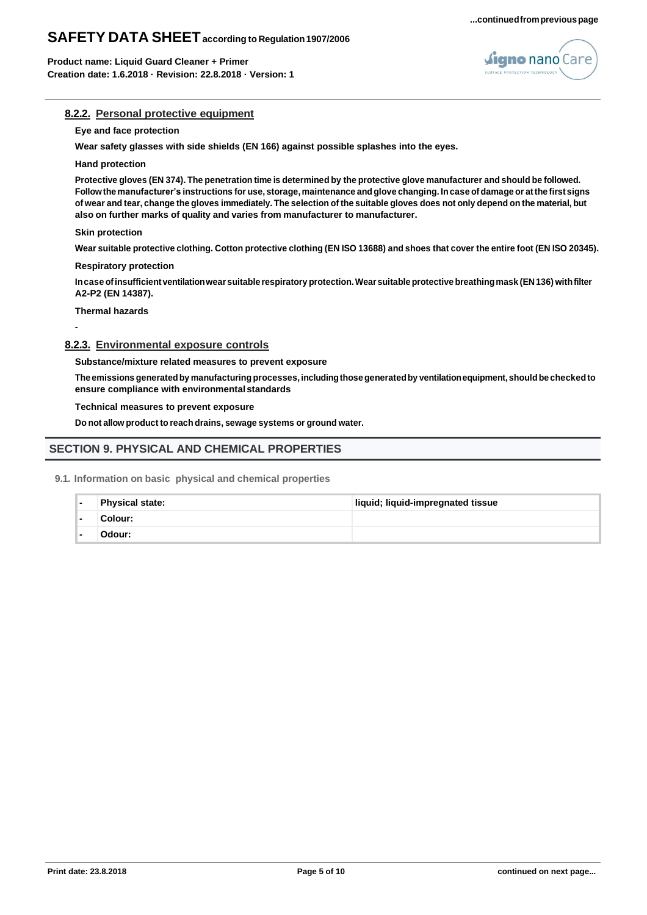



### **8.2.2. Personal protective equipment**

#### **Eye and face protection**

**Wear safety glasses with side shields (EN 166) against possible splashes into the eyes.**

#### **Hand protection**

Protective gloves (EN 374). The penetration time is determined by the protective glove manufacturer and should be followed. Follow the manufacturer's instructions for use, storage, maintenance and glove changing. In case of damage or at the first signs of wear and tear, change the gloves immediately. The selection of the suitable gloves does not only depend on the material, but **also on further marks of quality and varies from manufacturer to manufacturer.**

#### **Skin protection**

Wear suitable protective clothing. Cotton protective clothing (EN ISO 13688) and shoes that cover the entire foot (EN ISO 20345).

**Respiratory protection**

**Incase ofinsufficientventilationwear suitable respiratory protection.Wearsuitableprotectivebreathingmask (EN136) withfilter A2-P2 (EN 14387).**

#### **Thermal hazards**

**-**

# **8.2.3. Environmental exposure controls**

**Substance/mixture related measures to prevent exposure**

**The emissions generatedby manufacturingprocesses, includingthosegeneratedby ventilationequipment,shouldbe checkedto ensure compliance with environmentalstandards**

#### **Technical measures to prevent exposure**

**Do not allow product to reach drains, sewage systems or ground water.**

## **SECTION 9. PHYSICAL AND CHEMICAL PROPERTIES**

**9.1. Information on basic physical and chemical properties**

| Physical state: | liquid; liquid-impregnated tissue |
|-----------------|-----------------------------------|
| Colour:         |                                   |
| Odour:          |                                   |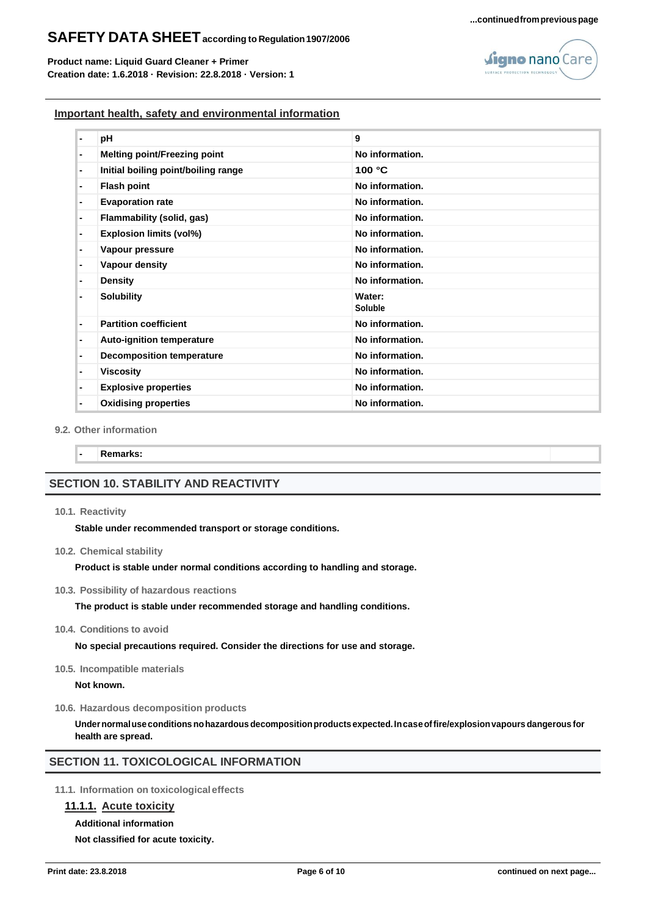**Product name: Liquid Guard Cleaner + Primer Creation date: 1.6.2018 · Revision: 22.8.2018 · Version: 1**

## **...continuedfrompreviouspage**



## **Important health, safety and environmental information**

| $\blacksquare$ | pH                                  | 9                        |
|----------------|-------------------------------------|--------------------------|
| $\blacksquare$ | <b>Melting point/Freezing point</b> | No information.          |
| $\blacksquare$ | Initial boiling point/boiling range | 100 °C                   |
| $\blacksquare$ | <b>Flash point</b>                  | No information.          |
| $\blacksquare$ | <b>Evaporation rate</b>             | No information.          |
| $\blacksquare$ | Flammability (solid, gas)           | No information.          |
| $\blacksquare$ | <b>Explosion limits (vol%)</b>      | No information.          |
| $\blacksquare$ | Vapour pressure                     | No information.          |
| $\blacksquare$ | Vapour density                      | No information.          |
| ٠              | <b>Density</b>                      | No information.          |
| $\blacksquare$ | <b>Solubility</b>                   | Water:<br><b>Soluble</b> |
| $\blacksquare$ | <b>Partition coefficient</b>        | No information.          |
| $\blacksquare$ | Auto-ignition temperature           | No information.          |
| $\blacksquare$ | <b>Decomposition temperature</b>    | No information.          |
| $\blacksquare$ | <b>Viscosity</b>                    | No information.          |
| $\blacksquare$ | <b>Explosive properties</b>         | No information.          |
| $\blacksquare$ | <b>Oxidising properties</b>         | No information.          |

#### **9.2. Other information**

**- Remarks:**

## **SECTION 10. STABILITY AND REACTIVITY**

#### **10.1. Reactivity**

**Stable under recommended transport or storage conditions.**

**10.2. Chemical stability**

**Product is stable under normal conditions according to handling and storage.**

**10.3. Possibility of hazardous reactions**

**The product is stable under recommended storage and handling conditions.**

**10.4. Conditions to avoid**

**No special precautions required. Consider the directions for use and storage.**

**10.5. Incompatible materials**

**Not known.**

**10.6. Hazardous decomposition products**

**Undernormaluseconditionsnohazardous decompositionproducts expected.Incaseoffire/explosionvapours dangerous for health are spread.**

# **SECTION 11. TOXICOLOGICAL INFORMATION**

**11.1. Information on toxicologicaleffects**

## **11.1.1. Acute toxicity**

#### **Additional information**

**Not classified for acute toxicity.**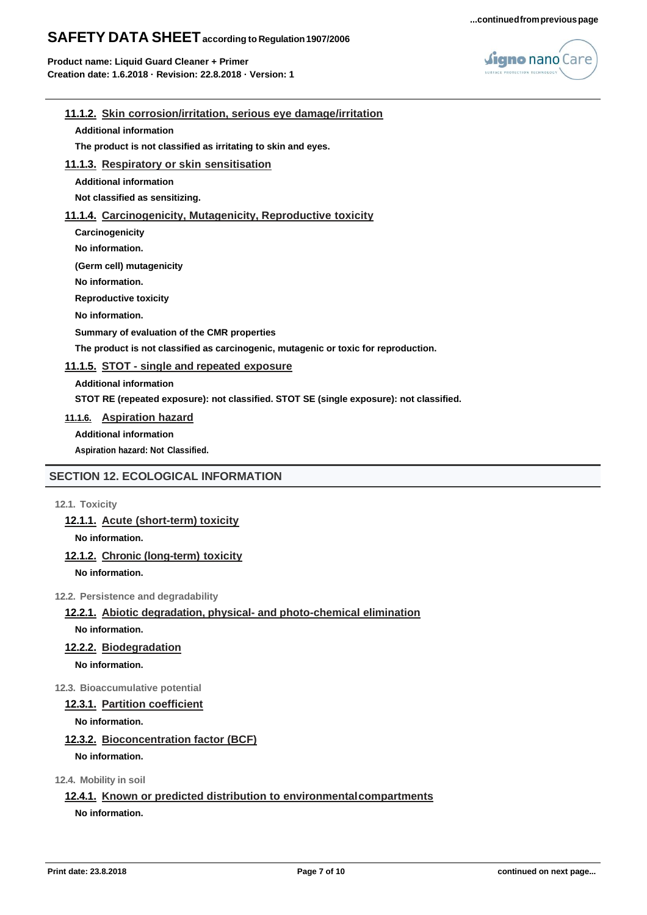



## **11.1.2. Skin corrosion/irritation, serious eye damage/irritation**

**Additional information**

**The product is not classified as irritating to skin and eyes.**

## **11.1.3. Respiratory or skin sensitisation**

**Additional information**

**Not classified as sensitizing.**

## **11.1.4. Carcinogenicity, Mutagenicity, Reproductive toxicity**

**Carcinogenicity**

**No information.**

**(Germ cell) mutagenicity**

**No information.** 

**Reproductive toxicity** 

**No information.**

**Summary of evaluation of the CMR properties**

**The product is not classified as carcinogenic, mutagenic or toxic for reproduction.**

## **11.1.5. STOT - single and repeated exposure**

**Additional information**

**STOT RE (repeated exposure): not classified. STOT SE (single exposure): not classified.**

**11.1.6. Aspiration hazard**

**Additional information** 

**Aspiration hazard: Not Classified.**

# **SECTION 12. ECOLOGICAL INFORMATION**

**12.1. Toxicity**

**12.1.1. Acute (short-term) toxicity**

**No information.**

# **12.1.2. Chronic (long-term) toxicity**

**No information.**

**12.2. Persistence and degradability**

## **12.2.1. Abiotic degradation, physical- and photo-chemical elimination**

**No information.**

## **12.2.2. Biodegradation**

**No information.**

## **12.3. Bioaccumulative potential**

## **12.3.1. Partition coefficient**

**No information.**

## **12.3.2. Bioconcentration factor (BCF)**

**No information.**

**12.4. Mobility in soil**

## **12.4.1. Known or predicted distribution to environmentalcompartments**

**No information.**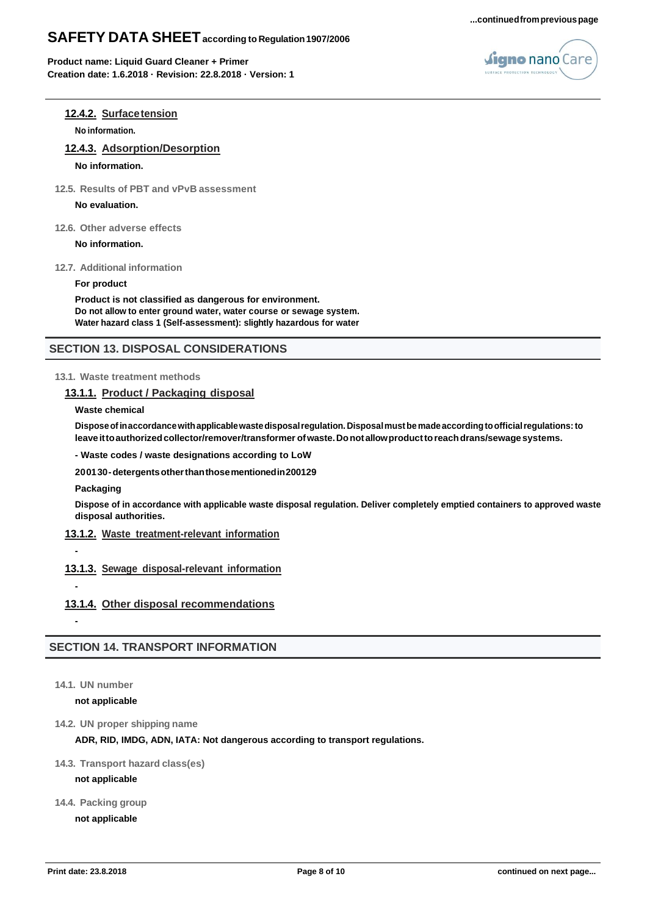



# **12.4.2. Surfacetension**

**No information.**

**12.4.3. Adsorption/Desorption**

## **No information.**

**12.5. Results of PBT and vPvB assessment**

#### **No evaluation.**

**12.6. Other adverse effects**

**No information.**

**12.7. Additional information**

#### **For product**

**Product is not classified as dangerous for environment. Do not allow to enter ground water, water course or sewage system. Water hazard class 1 (Self-assessment): slightly hazardous for water**

## **SECTION 13. DISPOSAL CONSIDERATIONS**

## **13.1. Waste treatment methods**

## **13.1.1. Product / Packaging disposal**

**Waste chemical**

**Disposeofinaccordancewithapplicablewastedisposalregulation. Disposalmustbemadeaccordingtoofficialregulations:to leaveittoauthorizedcollector/remover/transformer ofwaste.Donotallowproducttoreachdrans/sewagesystems.**

**- Waste codes / waste designations according to LoW** 

**200130-detergentsotherthanthosementionedin200129** 

**Packaging**

**Dispose of in accordance with applicable waste disposal regulation. Deliver completely emptied containers to approved waste disposal authorities.**

## **13.1.2. Waste treatment-relevant information**

# **13.1.3. Sewage disposal-relevant information**

**-**

**-**

## **13.1.4. Other disposal recommendations**

## **SECTION 14. TRANSPORT INFORMATION**

## **14.1. UN number**

#### **not applicable**

**14.2. UN proper shipping name**

#### **ADR, RID, IMDG, ADN, IATA: Not dangerous according to transport regulations.**

**14.3. Transport hazard class(es)**

#### **not applicable**

**14.4. Packing group**

#### **not applicable**

**<sup>-</sup>**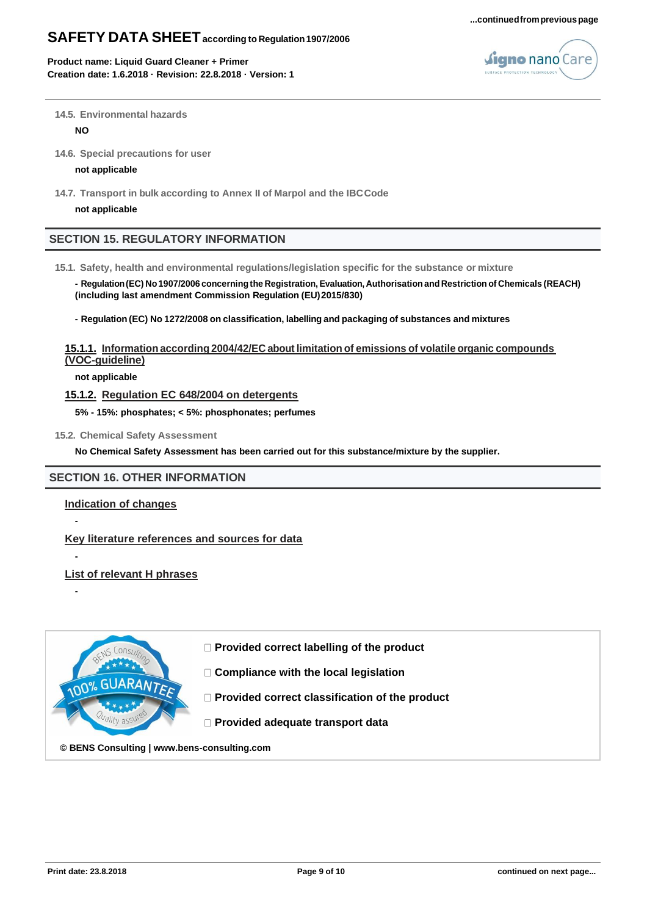#### **...continuedfrompreviouspage**

# **SAFETY DATA SHEETaccording to Regulation1907/2006**

**Product name: Liquid Guard Cleaner + Primer Creation date: 1.6.2018 · Revision: 22.8.2018 · Version: 1**



#### **14.5. Environmental hazards**

**NO**

**14.6. Special precautions for user**

#### **not applicable**

**14.7. Transport in bulk according to Annex II of Marpol and the IBCCode**

**not applicable**

## **SECTION 15. REGULATORY INFORMATION**

**15.1. Safety, health and environmental regulations/legislation specific for the substance or mixture**

**- Regulation(EC) No1907/2006 concerningthe Registration, Evaluation,Authorisation and Restriction of Chemicals (REACH) (including last amendment Commission Regulation (EU)2015/830)**

**- Regulation (EC) No 1272/2008 on classification, labelling and packaging of substances and mixtures**

## **15.1.1. Information according 2004/42/EC about limitation of emissions of volatile organic compounds (VOC-guideline)**

**not applicable**

## **15.1.2. Regulation EC 648/2004 on detergents**

**5% - 15%: phosphates; < 5%: phosphonates; perfumes**

**15.2. Chemical Safety Assessment**

**No Chemical Safety Assessment has been carried out for this substance/mixture by the supplier.**

## **SECTION 16. OTHER INFORMATION**

## **Indication of changes**

**-**

**-**

**-**

**Key literature references and sources for data**

**List of relevant H phrases**



**Provided correct labelling of the product**

- **Compliance with the local legislation**
- **Provided correct classification of the product**
- **Provided adequate transport data**

**© [BENS Consulting](https://expert.bens-consulting.com/en/benefits#warranty) | [www.bens-consulting.com](https://expert.bens-consulting.com/en/benefits#warranty)**